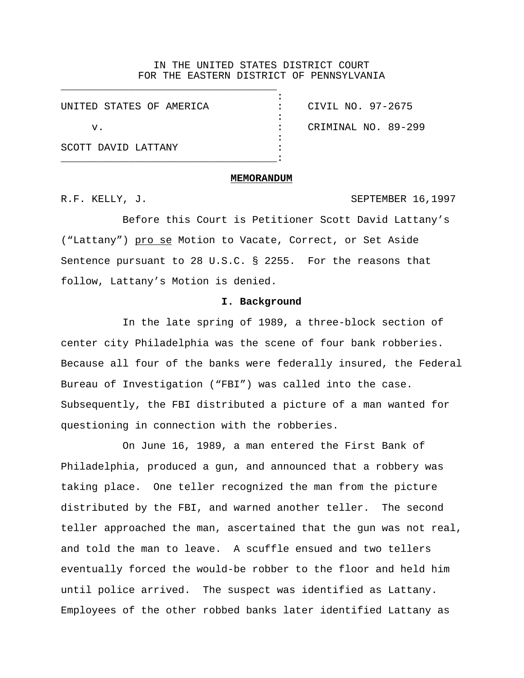#### IN THE UNITED STATES DISTRICT COURT FOR THE EASTERN DISTRICT OF PENNSYLVANIA

:

| UNITED STATES OF AMERICA |  |
|--------------------------|--|
|                          |  |
| V.                       |  |
|                          |  |
| SCOTT DAVID LATTANY      |  |

CIVIL NO. 97-2675 CRIMINAL NO. 89-299

#### **MEMORANDUM**

R.F. KELLY, J. SEPTEMBER 16,1997

Before this Court is Petitioner Scott David Lattany's ("Lattany") pro se Motion to Vacate, Correct, or Set Aside Sentence pursuant to 28 U.S.C. § 2255. For the reasons that follow, Lattany's Motion is denied.

# **I. Background**

In the late spring of 1989, a three-block section of center city Philadelphia was the scene of four bank robberies. Because all four of the banks were federally insured, the Federal Bureau of Investigation ("FBI") was called into the case. Subsequently, the FBI distributed a picture of a man wanted for questioning in connection with the robberies.

On June 16, 1989, a man entered the First Bank of Philadelphia, produced a gun, and announced that a robbery was taking place. One teller recognized the man from the picture distributed by the FBI, and warned another teller. The second teller approached the man, ascertained that the gun was not real, and told the man to leave. A scuffle ensued and two tellers eventually forced the would-be robber to the floor and held him until police arrived. The suspect was identified as Lattany. Employees of the other robbed banks later identified Lattany as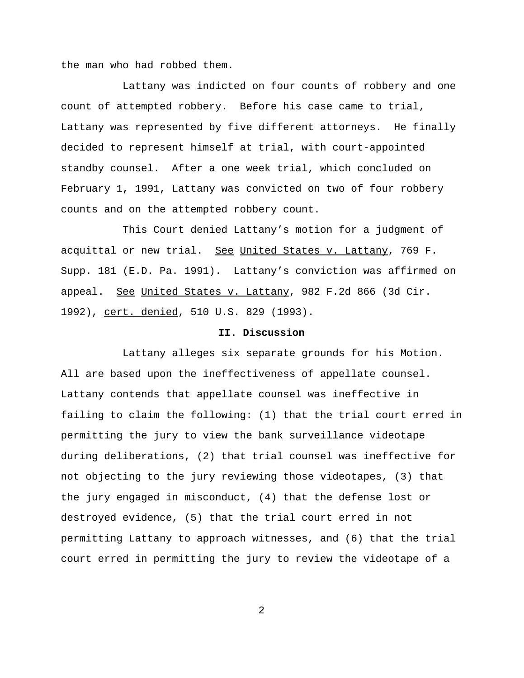the man who had robbed them.

Lattany was indicted on four counts of robbery and one count of attempted robbery. Before his case came to trial, Lattany was represented by five different attorneys. He finally decided to represent himself at trial, with court-appointed standby counsel. After a one week trial, which concluded on February 1, 1991, Lattany was convicted on two of four robbery counts and on the attempted robbery count.

This Court denied Lattany's motion for a judgment of acquittal or new trial. See United States v. Lattany, 769 F. Supp. 181 (E.D. Pa. 1991). Lattany's conviction was affirmed on appeal. See United States v. Lattany, 982 F.2d 866 (3d Cir. 1992), cert. denied, 510 U.S. 829 (1993).

## **II. Discussion**

Lattany alleges six separate grounds for his Motion. All are based upon the ineffectiveness of appellate counsel. Lattany contends that appellate counsel was ineffective in failing to claim the following: (1) that the trial court erred in permitting the jury to view the bank surveillance videotape during deliberations, (2) that trial counsel was ineffective for not objecting to the jury reviewing those videotapes, (3) that the jury engaged in misconduct, (4) that the defense lost or destroyed evidence, (5) that the trial court erred in not permitting Lattany to approach witnesses, and (6) that the trial court erred in permitting the jury to review the videotape of a

2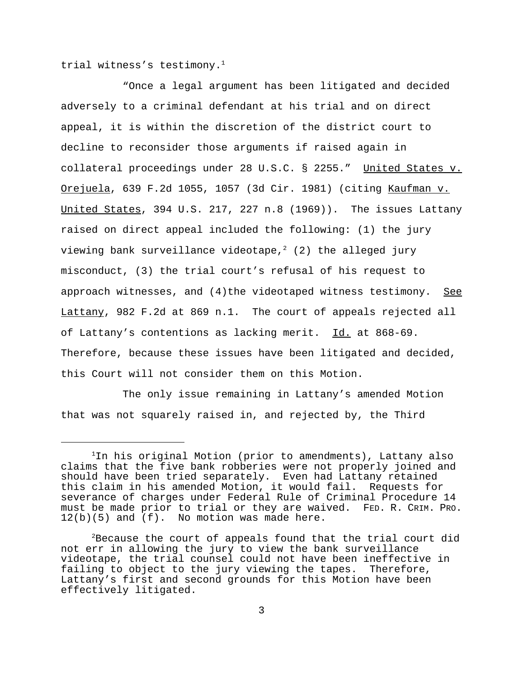trial witness's testimony.<sup>1</sup>

"Once a legal argument has been litigated and decided adversely to a criminal defendant at his trial and on direct appeal, it is within the discretion of the district court to decline to reconsider those arguments if raised again in collateral proceedings under 28 U.S.C. § 2255." United States v. Orejuela, 639 F.2d 1055, 1057 (3d Cir. 1981) (citing Kaufman v. United States, 394 U.S. 217, 227 n.8 (1969)). The issues Lattany raised on direct appeal included the following: (1) the jury viewing bank surveillance videotape,<sup>2</sup> (2) the alleged jury misconduct, (3) the trial court's refusal of his request to approach witnesses, and  $(4)$ the videotaped witness testimony. See Lattany, 982 F.2d at 869 n.1. The court of appeals rejected all of Lattany's contentions as lacking merit. Id. at 868-69. Therefore, because these issues have been litigated and decided, this Court will not consider them on this Motion.

The only issue remaining in Lattany's amended Motion that was not squarely raised in, and rejected by, the Third

<sup>&</sup>lt;sup>1</sup>In his original Motion (prior to amendments), Lattany also claims that the five bank robberies were not properly joined and should have been tried separately. Even had Lattany retained this claim in his amended Motion, it would fail. Requests for severance of charges under Federal Rule of Criminal Procedure 14 must be made prior to trial or they are waived. FED. R. CRIM. PRO.<br>12(b)(5) and (f). No motion was made here.

 $2B$ ecause the court of appeals found that the trial court did not err in allowing the jury to view the bank surveillance videotape, the trial counsel could not have been ineffective in failing to object to the jury viewing the tapes. Therefore, Lattany's first and second grounds for this Motion have been effectively litigated.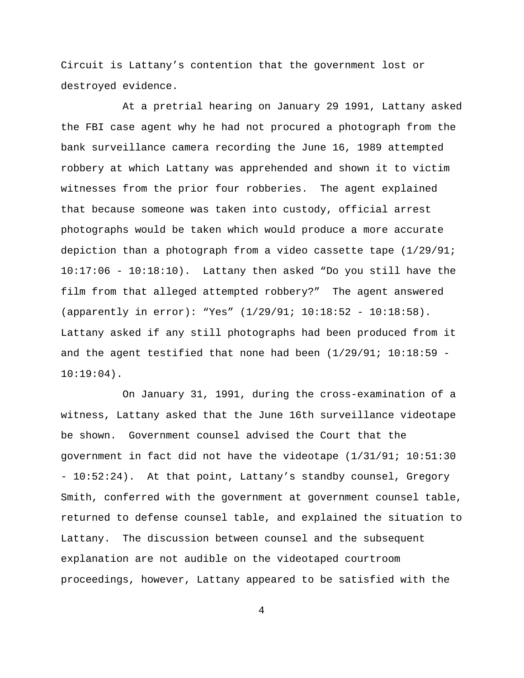Circuit is Lattany's contention that the government lost or destroyed evidence.

At a pretrial hearing on January 29 1991, Lattany asked the FBI case agent why he had not procured a photograph from the bank surveillance camera recording the June 16, 1989 attempted robbery at which Lattany was apprehended and shown it to victim witnesses from the prior four robberies. The agent explained that because someone was taken into custody, official arrest photographs would be taken which would produce a more accurate depiction than a photograph from a video cassette tape (1/29/91; 10:17:06 - 10:18:10). Lattany then asked "Do you still have the film from that alleged attempted robbery?" The agent answered (apparently in error): "Yes" (1/29/91; 10:18:52 - 10:18:58). Lattany asked if any still photographs had been produced from it and the agent testified that none had been  $(1/29/91; 10:18:59 10:19:04$ .

On January 31, 1991, during the cross-examination of a witness, Lattany asked that the June 16th surveillance videotape be shown. Government counsel advised the Court that the government in fact did not have the videotape (1/31/91; 10:51:30 - 10:52:24). At that point, Lattany's standby counsel, Gregory Smith, conferred with the government at government counsel table, returned to defense counsel table, and explained the situation to Lattany. The discussion between counsel and the subsequent explanation are not audible on the videotaped courtroom proceedings, however, Lattany appeared to be satisfied with the

4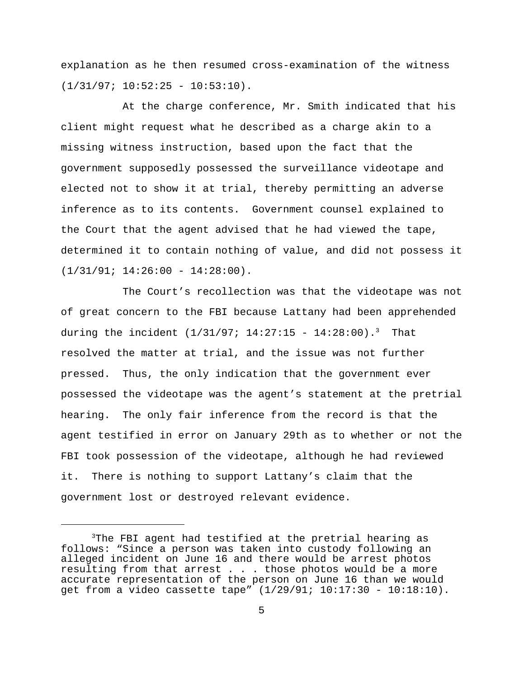explanation as he then resumed cross-examination of the witness  $(1/31/97; 10:52:25 - 10:53:10)$ .

At the charge conference, Mr. Smith indicated that his client might request what he described as a charge akin to a missing witness instruction, based upon the fact that the government supposedly possessed the surveillance videotape and elected not to show it at trial, thereby permitting an adverse inference as to its contents. Government counsel explained to the Court that the agent advised that he had viewed the tape, determined it to contain nothing of value, and did not possess it  $(1/31/91; 14:26:00 - 14:28:00)$ .

The Court's recollection was that the videotape was not of great concern to the FBI because Lattany had been apprehended during the incident  $(1/31/97; 14:27:15 - 14:28:00)$ .<sup>3</sup> That resolved the matter at trial, and the issue was not further pressed. Thus, the only indication that the government ever possessed the videotape was the agent's statement at the pretrial hearing. The only fair inference from the record is that the agent testified in error on January 29th as to whether or not the FBI took possession of the videotape, although he had reviewed it. There is nothing to support Lattany's claim that the government lost or destroyed relevant evidence.

<sup>&</sup>lt;sup>3</sup>The FBI agent had testified at the pretrial hearing as follows: "Since a person was taken into custody following an alleged incident on June 16 and there would be arrest photos resulting from that arrest . . . those photos would be a more accurate representation of the person on June 16 than we would get from a video cassette tape" (1/29/91; 10:17:30 - 10:18:10).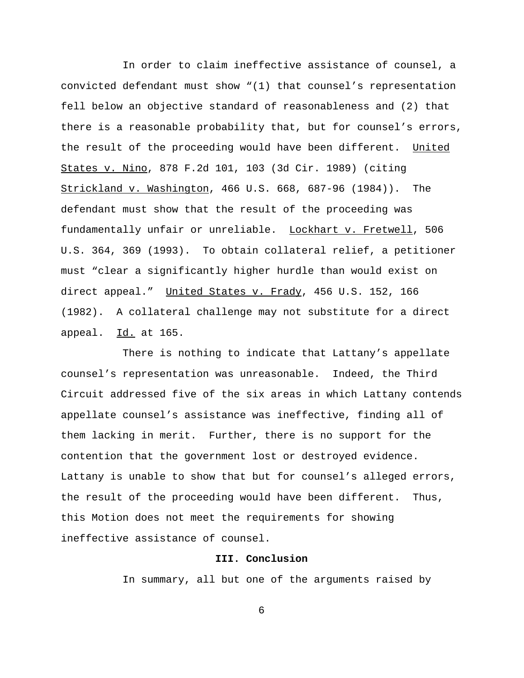In order to claim ineffective assistance of counsel, a convicted defendant must show "(1) that counsel's representation fell below an objective standard of reasonableness and (2) that there is a reasonable probability that, but for counsel's errors, the result of the proceeding would have been different. United States v. Nino, 878 F.2d 101, 103 (3d Cir. 1989) (citing Strickland v. Washington, 466 U.S. 668, 687-96 (1984)). The defendant must show that the result of the proceeding was fundamentally unfair or unreliable. Lockhart v. Fretwell, 506 U.S. 364, 369 (1993). To obtain collateral relief, a petitioner must "clear a significantly higher hurdle than would exist on direct appeal." United States v. Frady, 456 U.S. 152, 166 (1982). A collateral challenge may not substitute for a direct appeal. Id. at 165.

There is nothing to indicate that Lattany's appellate counsel's representation was unreasonable. Indeed, the Third Circuit addressed five of the six areas in which Lattany contends appellate counsel's assistance was ineffective, finding all of them lacking in merit. Further, there is no support for the contention that the government lost or destroyed evidence. Lattany is unable to show that but for counsel's alleged errors, the result of the proceeding would have been different. Thus, this Motion does not meet the requirements for showing ineffective assistance of counsel.

# **III. Conclusion**

In summary, all but one of the arguments raised by

6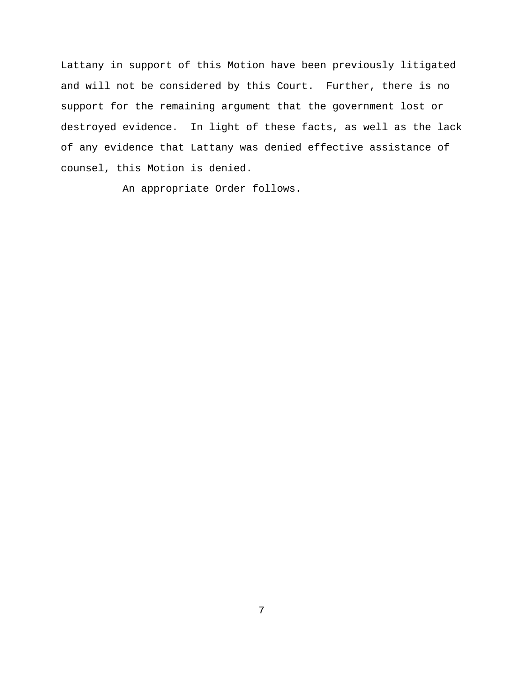Lattany in support of this Motion have been previously litigated and will not be considered by this Court. Further, there is no support for the remaining argument that the government lost or destroyed evidence. In light of these facts, as well as the lack of any evidence that Lattany was denied effective assistance of counsel, this Motion is denied.

An appropriate Order follows.